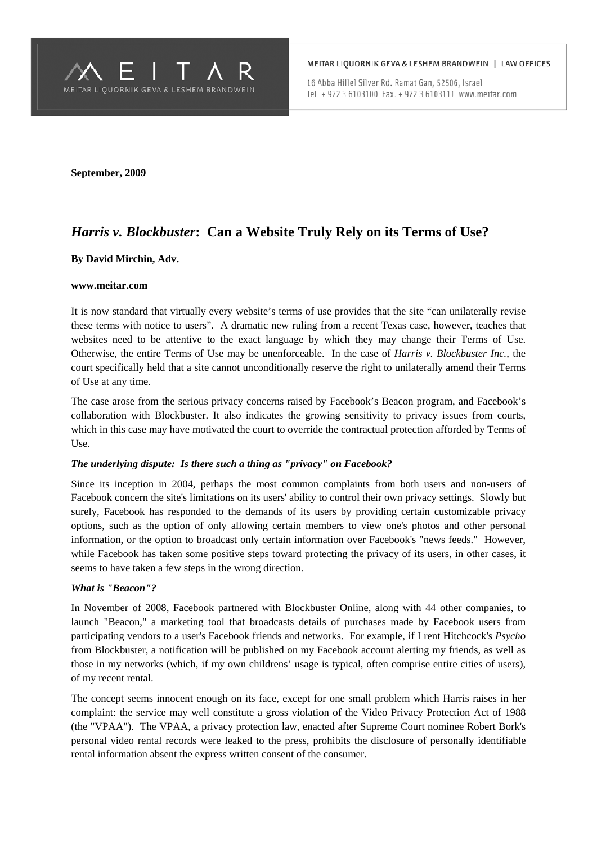

16 Abba Hillel Silver Rd. Ramat Gan, 52506, Israel Tel. + 972 3 6103100 Fax. + 972 3 6103111 www.meitar.com

**September, 2009** 

# *Harris v. Blockbuster***: Can a Website Truly Rely on its Terms of Use?**

### **By David Mirchin, Adv.**

#### **www.meitar.com**

It is now standard that virtually every website's terms of use provides that the site "can unilaterally revise these terms with notice to users". A dramatic new ruling from a recent Texas case, however, teaches that websites need to be attentive to the exact language by which they may change their Terms of Use. Otherwise, the entire Terms of Use may be unenforceable. In the case of *Harris v. Blockbuster Inc.*, the court specifically held that a site cannot unconditionally reserve the right to unilaterally amend their Terms of Use at any time.

The case arose from the serious privacy concerns raised by Facebook's Beacon program, and Facebook's collaboration with Blockbuster. It also indicates the growing sensitivity to privacy issues from courts, which in this case may have motivated the court to override the contractual protection afforded by Terms of Use.

### *The underlying dispute: Is there such a thing as "privacy" on Facebook?*

Since its inception in 2004, perhaps the most common complaints from both users and non-users of Facebook concern the site's limitations on its users' ability to control their own privacy settings. Slowly but surely, Facebook has responded to the demands of its users by providing certain customizable privacy options, such as the option of only allowing certain members to view one's photos and other personal information, or the option to broadcast only certain information over Facebook's "news feeds." However, while Facebook has taken some positive steps toward protecting the privacy of its users, in other cases, it seems to have taken a few steps in the wrong direction.

### *What is "Beacon"?*

In November of 2008, Facebook partnered with Blockbuster Online, along with 44 other companies, to launch "Beacon," a marketing tool that broadcasts details of purchases made by Facebook users from participating vendors to a user's Facebook friends and networks. For example, if I rent Hitchcock's *Psycho* from Blockbuster, a notification will be published on my Facebook account alerting my friends, as well as those in my networks (which, if my own childrens' usage is typical, often comprise entire cities of users), of my recent rental.

The concept seems innocent enough on its face, except for one small problem which Harris raises in her complaint: the service may well constitute a gross violation of the Video Privacy Protection Act of 1988 (the "VPAA"). The VPAA, a privacy protection law, enacted after Supreme Court nominee Robert Bork's personal video rental records were leaked to the press, prohibits the disclosure of personally identifiable rental information absent the express written consent of the consumer.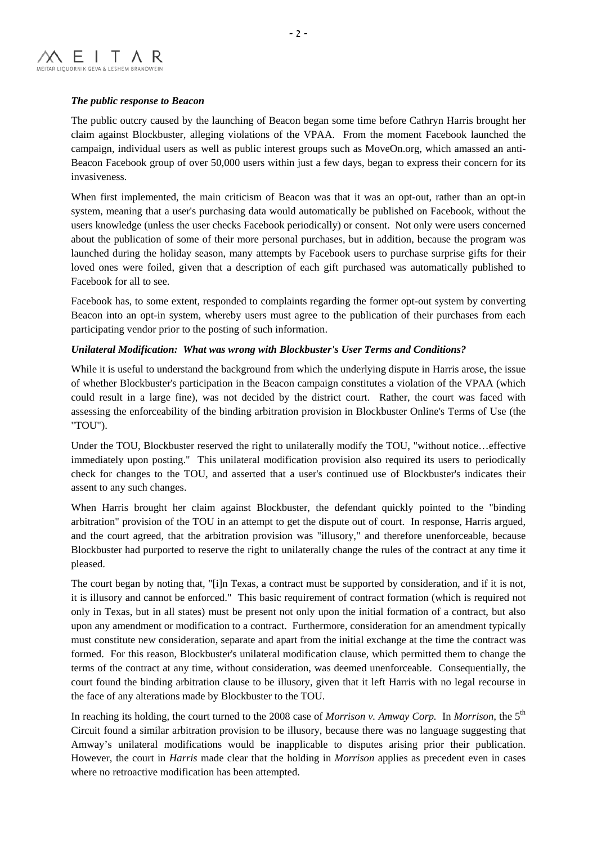## *The public response to Beacon*

The public outcry caused by the launching of Beacon began some time before Cathryn Harris brought her claim against Blockbuster, alleging violations of the VPAA. From the moment Facebook launched the campaign, individual users as well as public interest groups such as MoveOn.org, which amassed an anti-Beacon Facebook group of over 50,000 users within just a few days, began to express their concern for its invasiveness.

When first implemented, the main criticism of Beacon was that it was an opt-out, rather than an opt-in system, meaning that a user's purchasing data would automatically be published on Facebook, without the users knowledge (unless the user checks Facebook periodically) or consent. Not only were users concerned about the publication of some of their more personal purchases, but in addition, because the program was launched during the holiday season, many attempts by Facebook users to purchase surprise gifts for their loved ones were foiled, given that a description of each gift purchased was automatically published to Facebook for all to see.

Facebook has, to some extent, responded to complaints regarding the former opt-out system by converting Beacon into an opt-in system, whereby users must agree to the publication of their purchases from each participating vendor prior to the posting of such information.

## *Unilateral Modification:**What was wrong with Blockbuster's User Terms and Conditions?*

While it is useful to understand the background from which the underlying dispute in Harris arose, the issue of whether Blockbuster's participation in the Beacon campaign constitutes a violation of the VPAA (which could result in a large fine), was not decided by the district court. Rather, the court was faced with assessing the enforceability of the binding arbitration provision in Blockbuster Online's Terms of Use (the "TOU").

Under the TOU, Blockbuster reserved the right to unilaterally modify the TOU, "without notice…effective immediately upon posting." This unilateral modification provision also required its users to periodically check for changes to the TOU, and asserted that a user's continued use of Blockbuster's indicates their assent to any such changes.

When Harris brought her claim against Blockbuster, the defendant quickly pointed to the "binding arbitration" provision of the TOU in an attempt to get the dispute out of court. In response, Harris argued, and the court agreed, that the arbitration provision was "illusory," and therefore unenforceable, because Blockbuster had purported to reserve the right to unilaterally change the rules of the contract at any time it pleased.

The court began by noting that, "[i]n Texas, a contract must be supported by consideration, and if it is not, it is illusory and cannot be enforced." This basic requirement of contract formation (which is required not only in Texas, but in all states) must be present not only upon the initial formation of a contract, but also upon any amendment or modification to a contract. Furthermore, consideration for an amendment typically must constitute new consideration, separate and apart from the initial exchange at the time the contract was formed. For this reason, Blockbuster's unilateral modification clause, which permitted them to change the terms of the contract at any time, without consideration, was deemed unenforceable. Consequentially, the court found the binding arbitration clause to be illusory, given that it left Harris with no legal recourse in the face of any alterations made by Blockbuster to the TOU.

In reaching its holding, the court turned to the 2008 case of *Morrison v. Amway Corp.* In *Morrison*, the 5<sup>th</sup> Circuit found a similar arbitration provision to be illusory, because there was no language suggesting that Amway's unilateral modifications would be inapplicable to disputes arising prior their publication. However, the court in *Harris* made clear that the holding in *Morrison* applies as precedent even in cases where no retroactive modification has been attempted.